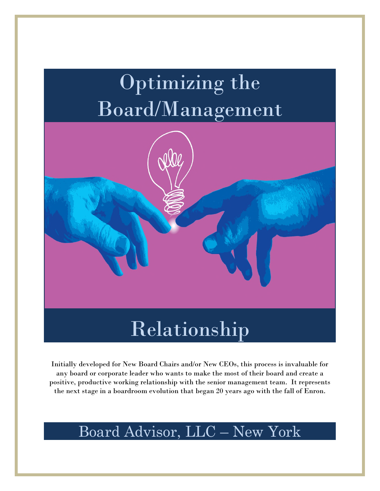# Optimizing the Board/Management



## Relationship

Initially developed for New Board Chairs and/or New CEOs, this process is invaluable for any board or corporate leader who wants to make the most of their board and create a positive, productive working relationship with the senior management team. It represents the next stage in a boardroom evolution that began 20 years ago with the fall of Enron.

## Board Advisor, LLC – New York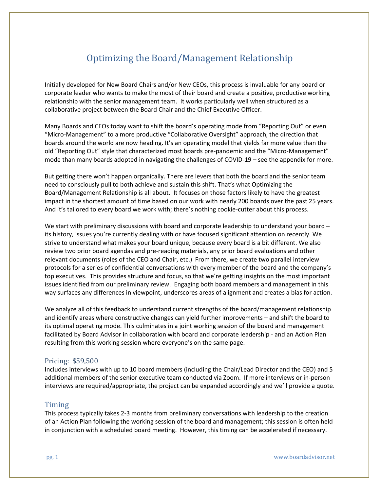### Optimizing the Board/Management Relationship

Initially developed for New Board Chairs and/or New CEOs, this process is invaluable for any board or corporate leader who wants to make the most of their board and create a positive, productive working relationship with the senior management team. It works particularly well when structured as a collaborative project between the Board Chair and the Chief Executive Officer.

Many Boards and CEOs today want to shift the board's operating mode from "Reporting Out" or even "Micro-Management" to a more productive "Collaborative Oversight" approach, the direction that boards around the world are now heading. It's an operating model that yields far more value than the old "Reporting Out" style that characterized most boards pre-pandemic and the "Micro-Management" mode than many boards adopted in navigating the challenges of COVID-19 – see the appendix for more.

But getting there won't happen organically. There are levers that both the board and the senior team need to consciously pull to both achieve and sustain this shift. That's what Optimizing the Board/Management Relationship is all about. It focuses on those factors likely to have the greatest impact in the shortest amount of time based on our work with nearly 200 boards over the past 25 years. And it's tailored to every board we work with; there's nothing cookie-cutter about this process.

We start with preliminary discussions with board and corporate leadership to understand your board – its history, issues you're currently dealing with or have focused significant attention on recently. We strive to understand what makes your board unique, because every board is a bit different. We also review two prior board agendas and pre-reading materials, any prior board evaluations and other relevant documents (roles of the CEO and Chair, etc.) From there, we create two parallel interview protocols for a series of confidential conversations with every member of the board and the company's top executives. This provides structure and focus, so that we're getting insights on the most important issues identified from our preliminary review. Engaging both board members and management in this way surfaces any differences in viewpoint, underscores areas of alignment and creates a bias for action.

We analyze all of this feedback to understand current strengths of the board/management relationship and identify areas where constructive changes can yield further improvements – and shift the board to its optimal operating mode. This culminates in a joint working session of the board and management facilitated by Board Advisor in collaboration with board and corporate leadership - and an Action Plan resulting from this working session where everyone's on the same page.

#### Pricing: \$59,500

Includes interviews with up to 10 board members (including the Chair/Lead Director and the CEO) and 5 additional members of the senior executive team conducted via Zoom. If more interviews or in-person interviews are required/appropriate, the project can be expanded accordingly and we'll provide a quote.

#### Timing

This process typically takes 2-3 months from preliminary conversations with leadership to the creation of an Action Plan following the working session of the board and management; this session is often held in conjunction with a scheduled board meeting. However, this timing can be accelerated if necessary.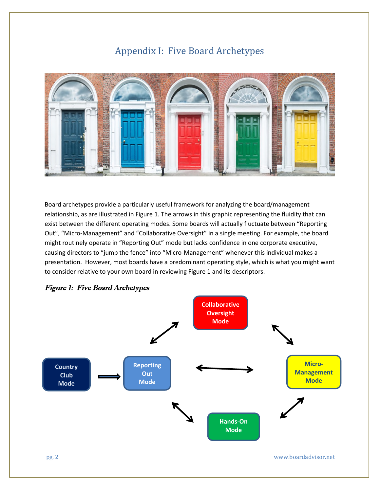### Appendix I: Five Board Archetypes



Board archetypes provide a particularly useful framework for analyzing the board/management relationship, as are illustrated in Figure 1. The arrows in this graphic representing the fluidity that can exist between the different operating modes. Some boards will actually fluctuate between "Reporting Out", "Micro-Management" and "Collaborative Oversight" in a single meeting. For example, the board might routinely operate in "Reporting Out" mode but lacks confidence in one corporate executive, causing directors to "jump the fence" into "Micro-Management" whenever this individual makes a presentation. However, most boards have a predominant operating style, which is what you might want to consider relative to your own board in reviewing Figure 1 and its descriptors.



#### Figure 1: Five Board Archetypes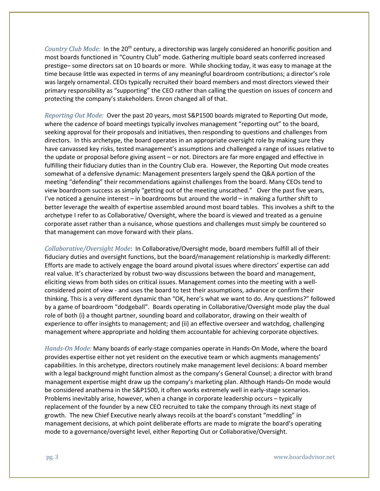*Country Club Mode:* In the 20<sup>th</sup> century, a directorship was largely considered an honorific position and most boards functioned in "Country Club" mode. Gathering multiple board seats conferred increased prestige– some directors sat on 10 boards or more. While shocking today, it was easy to manage at the time because little was expected in terms of any meaningful boardroom contributions; a director's role was largely ornamental. CEOs typically recruited their board members and most directors viewed their primary responsibility as "supporting" the CEO rather than calling the question on issues of concern and protecting the company's stakeholders. Enron changed all of that.

*Reporting Out Mode:* Over the past 20 years, most S&P1500 boards migrated to Reporting Out mode, where the cadence of board meetings typically involves management "reporting out" to the board, seeking approval for their proposals and initiatives, then responding to questions and challenges from directors. In this archetype, the board operates in an appropriate oversight role by making sure they have canvassed key risks, tested management's assumptions and challenged a range of issues relative to the update or proposal before giving assent – or not. Directors are far more engaged and effective in fulfilling their fiduciary duties than in the Country Club era. However, the Reporting Out mode creates somewhat of a defensive dynamic: Management presenters largely spend the Q&A portion of the meeting "defending" their recommendations against challenges from the board. Many CEOs tend to view boardroom success as simply "getting out of the meeting unscathed." Over the past five years, I've noticed a genuine interest – in boardrooms but around the world – in making a further shift to better leverage the wealth of expertise assembled around most board tables. This involves a shift to the archetype I refer to as Collaborative/ Oversight, where the board is viewed and treated as a genuine corporate asset rather than a nuisance, whose questions and challenges must simply be countered so that management can move forward with their plans.

*Collaborative/Oversight Mode*: In Collaborative/Oversight mode, board members fulfill all of their fiduciary duties and oversight functions, but the board/management relationship is markedly different: Efforts are made to actively engage the board around pivotal issues where directors' expertise can add real value. It's characterized by robust two-way discussions between the board and management, eliciting views from both sides on critical issues. Management comes into the meeting with a wellconsidered point of view - and uses the board to test their assumptions, advance or confirm their thinking. This is a very different dynamic than "OK, here's what we want to do. Any questions?" followed by a game of boardroom "dodgeball". Boards operating in Collaborative/Oversight mode play the dual role of both (i) a thought partner, sounding board and collaborator, drawing on their wealth of experience to offer insights to management; and (ii) an effective overseer and watchdog, challenging management where appropriate and holding them accountable for achieving corporate objectives.

*Hands-On Mode:* Many boards of early-stage companies operate in Hands-On Mode, where the board provides expertise either not yet resident on the executive team or which augments managements' capabilities. In this archetype, directors routinely make management level decisions: A board member with a legal background might function almost as the company's General Counsel; a director with brand management expertise might draw up the company's marketing plan. Although Hands-On mode would be considered anathema in the S&P1500, it often works extremely well in early-stage scenarios. Problems inevitably arise, however, when a change in corporate leadership occurs – typically replacement of the founder by a new CEO recruited to take the company through its next stage of growth. The new Chief Executive nearly always recoils at the board's constant "meddling" in management decisions, at which point deliberate efforts are made to migrate the board's operating mode to a governance/oversight level, either Reporting Out or Collaborative/Oversight.